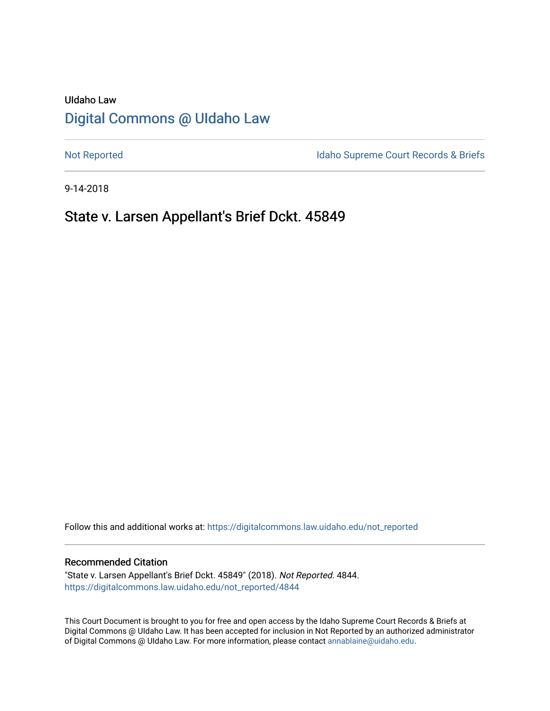# UIdaho Law [Digital Commons @ UIdaho Law](https://digitalcommons.law.uidaho.edu/)

[Not Reported](https://digitalcommons.law.uidaho.edu/not_reported) **Idaho Supreme Court Records & Briefs** 

9-14-2018

## State v. Larsen Appellant's Brief Dckt. 45849

Follow this and additional works at: [https://digitalcommons.law.uidaho.edu/not\\_reported](https://digitalcommons.law.uidaho.edu/not_reported?utm_source=digitalcommons.law.uidaho.edu%2Fnot_reported%2F4844&utm_medium=PDF&utm_campaign=PDFCoverPages) 

#### Recommended Citation

"State v. Larsen Appellant's Brief Dckt. 45849" (2018). Not Reported. 4844. [https://digitalcommons.law.uidaho.edu/not\\_reported/4844](https://digitalcommons.law.uidaho.edu/not_reported/4844?utm_source=digitalcommons.law.uidaho.edu%2Fnot_reported%2F4844&utm_medium=PDF&utm_campaign=PDFCoverPages)

This Court Document is brought to you for free and open access by the Idaho Supreme Court Records & Briefs at Digital Commons @ UIdaho Law. It has been accepted for inclusion in Not Reported by an authorized administrator of Digital Commons @ UIdaho Law. For more information, please contact [annablaine@uidaho.edu](mailto:annablaine@uidaho.edu).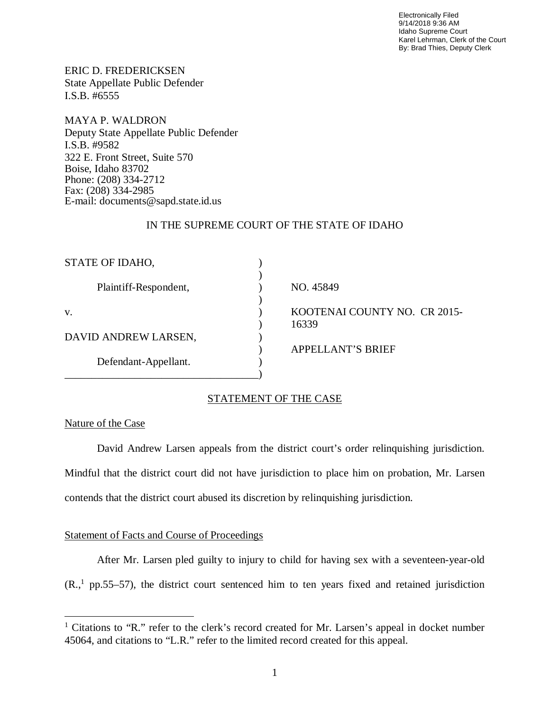Electronically Filed 9/14/2018 9:36 AM Idaho Supreme Court Karel Lehrman, Clerk of the Court By: Brad Thies, Deputy Clerk

ERIC D. FREDERICKSEN State Appellate Public Defender I.S.B. #6555

MAYA P. WALDRON Deputy State Appellate Public Defender I.S.B. #9582 322 E. Front Street, Suite 570 Boise, Idaho 83702 Phone: (208) 334-2712 Fax: (208) 334-2985 E-mail: documents@sapd.state.id.us

## IN THE SUPREME COURT OF THE STATE OF IDAHO

| STATE OF IDAHO,       |                                       |
|-----------------------|---------------------------------------|
| Plaintiff-Respondent, | NO. 45849                             |
| V.                    | KOOTENAI COUNTY NO. CR 2015-<br>16339 |
| DAVID ANDREW LARSEN,  |                                       |
| Defendant-Appellant.  | <b>APPELLANT'S BRIEF</b>              |

## STATEMENT OF THE CASE

#### Nature of the Case

David Andrew Larsen appeals from the district court's order relinquishing jurisdiction. Mindful that the district court did not have jurisdiction to place him on probation, Mr. Larsen contends that the district court abused its discretion by relinquishing jurisdiction.

## Statement of Facts and Course of Proceedings

After Mr. Larsen pled guilty to injury to child for having sex with a seventeen-year-old  $(R.,<sup>1</sup>$  $(R.,<sup>1</sup>$  $(R.,<sup>1</sup>$  pp.55–57), the district court sentenced him to ten years fixed and retained jurisdiction

<span id="page-1-0"></span><sup>&</sup>lt;sup>1</sup> Citations to "R." refer to the clerk's record created for Mr. Larsen's appeal in docket number 45064, and citations to "L.R." refer to the limited record created for this appeal.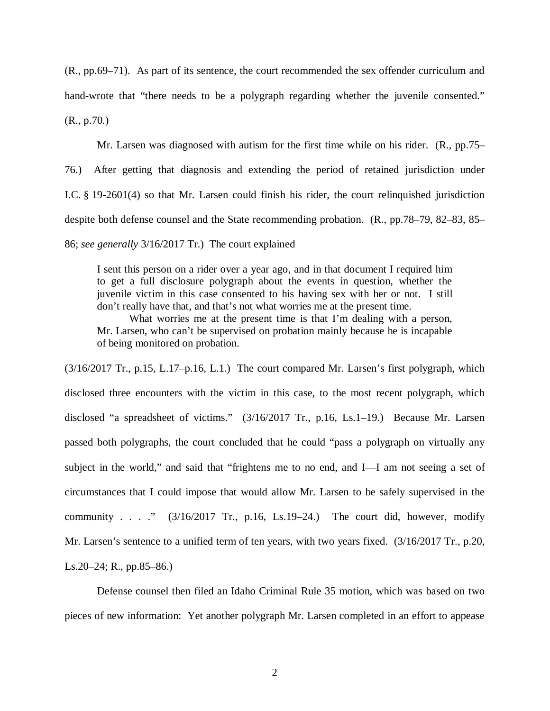(R., pp.69–71). As part of its sentence, the court recommended the sex offender curriculum and hand-wrote that "there needs to be a polygraph regarding whether the juvenile consented." (R., p.70.)

Mr. Larsen was diagnosed with autism for the first time while on his rider. (R., pp.75– 76.) After getting that diagnosis and extending the period of retained jurisdiction under I.C. § 19-2601(4) so that Mr. Larsen could finish his rider, the court relinquished jurisdiction despite both defense counsel and the State recommending probation. (R., pp.78–79, 82–83, 85– 86; *see generally* 3/16/2017 Tr.) The court explained

I sent this person on a rider over a year ago, and in that document I required him to get a full disclosure polygraph about the events in question, whether the juvenile victim in this case consented to his having sex with her or not. I still don't really have that, and that's not what worries me at the present time.

What worries me at the present time is that I'm dealing with a person, Mr. Larsen, who can't be supervised on probation mainly because he is incapable of being monitored on probation.

 $(3/16/2017$  Tr., p.15, L.17–p.16, L.1.) The court compared Mr. Larsen's first polygraph, which disclosed three encounters with the victim in this case, to the most recent polygraph, which disclosed "a spreadsheet of victims." (3/16/2017 Tr., p.16, Ls.1–19.) Because Mr. Larsen passed both polygraphs, the court concluded that he could "pass a polygraph on virtually any subject in the world," and said that "frightens me to no end, and I—I am not seeing a set of circumstances that I could impose that would allow Mr. Larsen to be safely supervised in the community . . . ."  $(3/16/2017 \text{ Tr.}, \text{ p.16}, \text{ Ls.19–24.})$  The court did, however, modify Mr. Larsen's sentence to a unified term of ten years, with two years fixed. (3/16/2017 Tr., p.20, Ls.20–24; R., pp.85–86.)

Defense counsel then filed an Idaho Criminal Rule 35 motion, which was based on two pieces of new information: Yet another polygraph Mr. Larsen completed in an effort to appease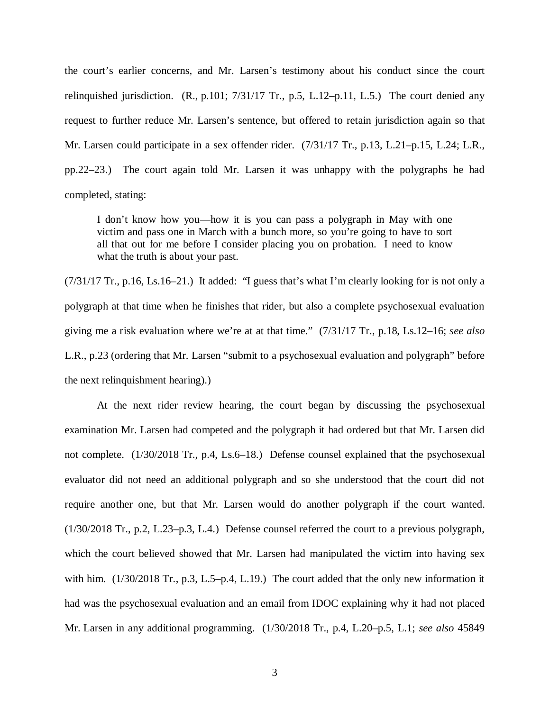the court's earlier concerns, and Mr. Larsen's testimony about his conduct since the court relinquished jurisdiction. (R., p.101; 7/31/17 Tr., p.5, L.12–p.11, L.5.) The court denied any request to further reduce Mr. Larsen's sentence, but offered to retain jurisdiction again so that Mr. Larsen could participate in a sex offender rider. (7/31/17 Tr., p.13, L.21–p.15, L.24; L.R., pp.22–23.) The court again told Mr. Larsen it was unhappy with the polygraphs he had completed, stating:

I don't know how you—how it is you can pass a polygraph in May with one victim and pass one in March with a bunch more, so you're going to have to sort all that out for me before I consider placing you on probation. I need to know what the truth is about your past.

(7/31/17 Tr., p.16, Ls.16–21.) It added: "I guess that's what I'm clearly looking for is not only a polygraph at that time when he finishes that rider, but also a complete psychosexual evaluation giving me a risk evaluation where we're at at that time." (7/31/17 Tr., p.18, Ls.12–16; *see also* L.R., p.23 (ordering that Mr. Larsen "submit to a psychosexual evaluation and polygraph" before the next relinquishment hearing).)

At the next rider review hearing, the court began by discussing the psychosexual examination Mr. Larsen had competed and the polygraph it had ordered but that Mr. Larsen did not complete. (1/30/2018 Tr., p.4, Ls.6–18.) Defense counsel explained that the psychosexual evaluator did not need an additional polygraph and so she understood that the court did not require another one, but that Mr. Larsen would do another polygraph if the court wanted. (1/30/2018 Tr., p.2, L.23–p.3, L.4.) Defense counsel referred the court to a previous polygraph, which the court believed showed that Mr. Larsen had manipulated the victim into having sex with him. (1/30/2018 Tr., p.3, L.5–p.4, L.19.) The court added that the only new information it had was the psychosexual evaluation and an email from IDOC explaining why it had not placed Mr. Larsen in any additional programming. (1/30/2018 Tr., p.4, L.20–p.5, L.1; *see also* 45849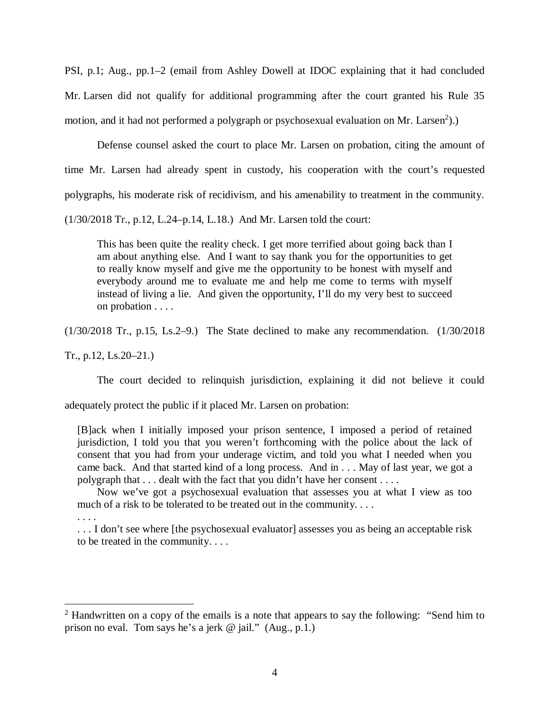PSI, p.1; Aug., pp.1–2 (email from Ashley Dowell at IDOC explaining that it had concluded Mr. Larsen did not qualify for additional programming after the court granted his Rule 35 motion, and it had not performed a polygraph or psychosexual evaluation on Mr. Larsen<sup>[2](#page-4-0)</sup>).)

Defense counsel asked the court to place Mr. Larsen on probation, citing the amount of time Mr. Larsen had already spent in custody, his cooperation with the court's requested polygraphs, his moderate risk of recidivism, and his amenability to treatment in the community.

(1/30/2018 Tr., p.12, L.24–p.14, L.18.) And Mr. Larsen told the court:

This has been quite the reality check. I get more terrified about going back than I am about anything else. And I want to say thank you for the opportunities to get to really know myself and give me the opportunity to be honest with myself and everybody around me to evaluate me and help me come to terms with myself instead of living a lie. And given the opportunity, I'll do my very best to succeed on probation . . . .

(1/30/2018 Tr., p.15, Ls.2–9.) The State declined to make any recommendation. (1/30/2018

Tr., p.12, Ls.20–21.)

The court decided to relinquish jurisdiction, explaining it did not believe it could

adequately protect the public if it placed Mr. Larsen on probation:

[B]ack when I initially imposed your prison sentence, I imposed a period of retained jurisdiction, I told you that you weren't forthcoming with the police about the lack of consent that you had from your underage victim, and told you what I needed when you came back. And that started kind of a long process. And in . . . May of last year, we got a polygraph that . . . dealt with the fact that you didn't have her consent . . . .

 Now we've got a psychosexual evaluation that assesses you at what I view as too much of a risk to be tolerated to be treated out in the community. . . .

. . . .

... I don't see where [the psychosexual evaluator] assesses you as being an acceptable risk to be treated in the community. . . .

<span id="page-4-0"></span><sup>&</sup>lt;sup>2</sup> Handwritten on a copy of the emails is a note that appears to say the following: "Send him to prison no eval. Tom says he's a jerk @ jail." (Aug., p.1.)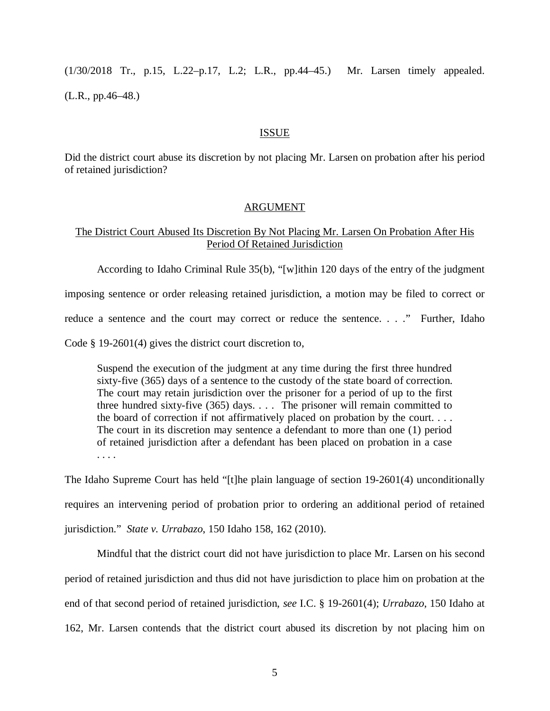(1/30/2018 Tr., p.15, L.22–p.17, L.2; L.R., pp.44–45.) Mr. Larsen timely appealed. (L.R., pp.46–48.)

#### ISSUE

Did the district court abuse its discretion by not placing Mr. Larsen on probation after his period of retained jurisdiction?

## ARGUMENT

## The District Court Abused Its Discretion By Not Placing Mr. Larsen On Probation After His Period Of Retained Jurisdiction

According to Idaho Criminal Rule 35(b), "[w]ithin 120 days of the entry of the judgment imposing sentence or order releasing retained jurisdiction, a motion may be filed to correct or reduce a sentence and the court may correct or reduce the sentence. . . ." Further, Idaho

Code § 19-2601(4) gives the district court discretion to,

Suspend the execution of the judgment at any time during the first three hundred sixty-five (365) days of a sentence to the custody of the state board of correction. The court may retain jurisdiction over the prisoner for a period of up to the first three hundred sixty-five (365) days. . . . The prisoner will remain committed to the board of correction if not affirmatively placed on probation by the court. . . . The court in its discretion may sentence a defendant to more than one (1) period of retained jurisdiction after a defendant has been placed on probation in a case . . . .

The Idaho Supreme Court has held "[t]he plain language of section 19-2601(4) unconditionally requires an intervening period of probation prior to ordering an additional period of retained jurisdiction." *State v. Urrabazo*, 150 Idaho 158, 162 (2010).

Mindful that the district court did not have jurisdiction to place Mr. Larsen on his second period of retained jurisdiction and thus did not have jurisdiction to place him on probation at the end of that second period of retained jurisdiction, *see* I.C. § 19-2601(4); *Urrabazo*, 150 Idaho at 162, Mr. Larsen contends that the district court abused its discretion by not placing him on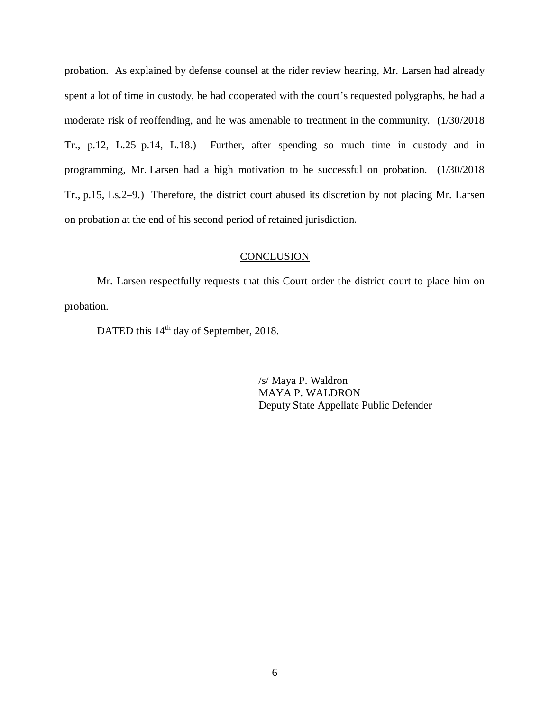probation. As explained by defense counsel at the rider review hearing, Mr. Larsen had already spent a lot of time in custody, he had cooperated with the court's requested polygraphs, he had a moderate risk of reoffending, and he was amenable to treatment in the community. (1/30/2018 Tr., p.12, L.25–p.14, L.18.) Further, after spending so much time in custody and in programming, Mr. Larsen had a high motivation to be successful on probation. (1/30/2018 Tr., p.15, Ls.2–9.) Therefore, the district court abused its discretion by not placing Mr. Larsen on probation at the end of his second period of retained jurisdiction.

#### **CONCLUSION**

Mr. Larsen respectfully requests that this Court order the district court to place him on probation.

DATED this 14<sup>th</sup> day of September, 2018.

/s/ Maya P. Waldron MAYA P. WALDRON Deputy State Appellate Public Defender